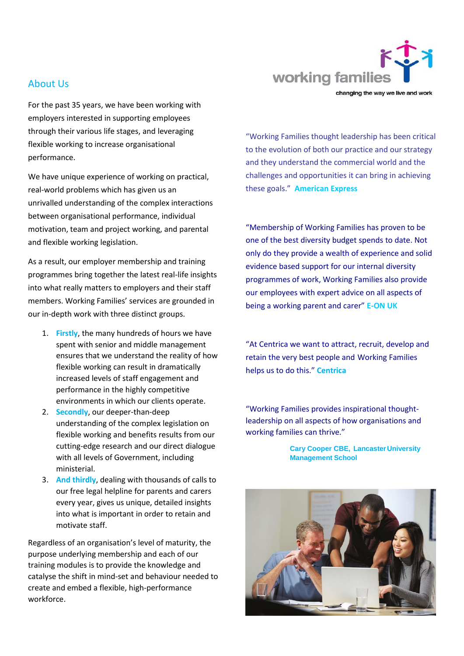

About Us

For the past 35 years, we have been working with employers interested in supporting employees through their various life stages, and leveraging flexible working to increase organisational performance.

We have unique experience of working on practical, real-world problems which has given us an unrivalled understanding of the complex interactions between organisational performance, individual motivation, team and project working, and parental and flexible working legislation.

As a result, our employer membership and training programmes bring together the latest real-life insights into what really matters to employers and their staff members. Working Families' services are grounded in our in-depth work with three distinct groups.

- 1. **Firstly**, the many hundreds of hours we have spent with senior and middle management ensures that we understand the reality of how flexible working can result in dramatically increased levels of staff engagement and performance in the highly competitive environments in which our clients operate.
- 2. **Secondly**, our deeper-than-deep understanding of the complex legislation on flexible working and benefits results from our cutting-edge research and our direct dialogue with all levels of Government, including ministerial.
- 3. **And thirdly**, dealing with thousands of calls to our free legal helpline for parents and carers every year, gives us unique, detailed insights into what is important in order to retain and motivate staff.

Regardless of an organisation's level of maturity, the purpose underlying membership and each of our training modules is to provide the knowledge and catalyse the shift in mind-set and behaviour needed to create and embed a flexible, high-performance workforce.

"Working Families thought leadership has been critical to the evolution of both our practice and our strategy and they understand the commercial world and the challenges and opportunities it can bring in achieving these goals." **American Express**

"Membership of Working Families has proven to be one of the best diversity budget spends to date. Not only do they provide a wealth of experience and solid evidence based support for our internal diversity programmes of work, Working Families also provide our employees with expert advice on all aspects of being a working parent and carer" **E-ON UK**

"At Centrica we want to attract, recruit, develop and retain the very best people and Working Families helps us to do this." **Centrica**

"Working Families provides inspirational thoughtleadership on all aspects of how organisations and working families can thrive."

> **Cary Cooper CBE, LancasterUniversity Management School**